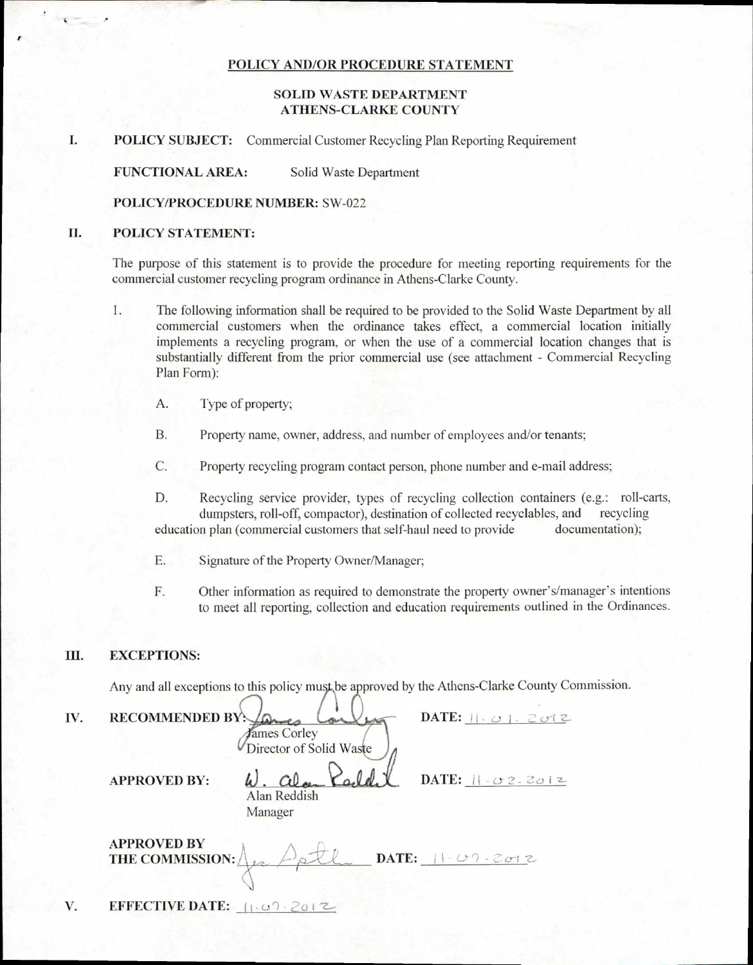### POLICY AND/OR PROCEDURE STATEMENT

## SOLID WASTE DEPARTMENT ATHENS-CLARKE COUNTY

## I. POLICY SUBJECT: Commercial Customer Recycling Plan Reporting Requirement

FUNCTIONAL AREA: Solid Waste Department

#### POLICY/PROCEDURE NUMBER: SW-022

### II. POLICY STATEMENT:

The purpose of this statement is to provide the procedure for meeting reporting requirements for the commercial customer recycling program ordinance in Athens-Clarke County.

- 1. The following information shall be required to be provided to the Solid Waste Department by all commercial customers when the ordinance takes effect, a commercial location initially implements a recycling program, or when the use of a commercial location changes that is substantially different from the prior commercial use (see attachment - Commercial Recycling Plan Form):
	- A. Type of property;
	- B. Property name, owner, address, and number of employees and/or tenants;
	- C. Property recycling program contact person, phone number and e-mail address;
	- D. Recycling service provider, types of recycling collection containers (e.g.: roll-carts, dumpsters, roll-off, compactor), destination of collected recyclables, and recycling education plan (commercial customers that self-haul need to provide documentation);
	- E. Signature of the Property Owner/Manager;
	- F. Other information as required to demonstrate the property owner's/manager's intentions to meet all reporting, collection and education requirements outlined in the Ordinances.

#### III. EXCEPTIONS:

Any and all exceptions to this policy must be approved by the Athens-Clarke County Commission.

| IV. | RECOMMENDED BY: 200<br>James Corley                                       | DATE: $  . \cup  . \geq c$   |
|-----|---------------------------------------------------------------------------|------------------------------|
|     | Director of Solid Waste<br><b>APPROVED BY:</b><br>Alan Reddish<br>Manager | DATE: $   -02.2012$          |
|     | <b>APPROVED BY</b><br>THE COMMISSION:                                     | DATE: $ 1-\angle 09 $ . 2012 |
| V.  | <b>EFFECTIVE DATE:</b> $ 1.09.2012 $                                      |                              |